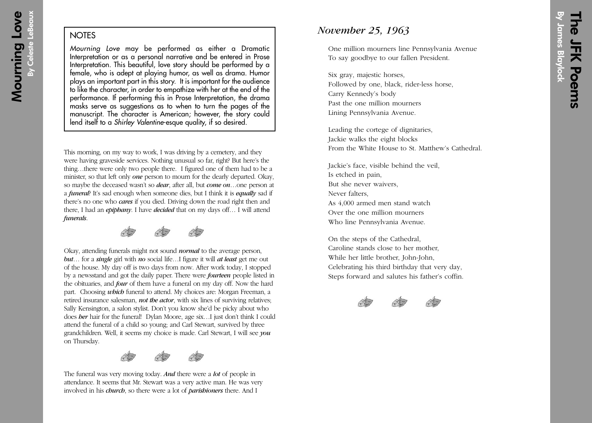## **NOTES**

Mourning Love may be performed as either a Dramatic Interpretation or as a personal narrative and be entered in Prose Interpretation. This beautiful, love story should be performed by a female, who is adept at playing humor, as well as drama. Humor plays an important part in this story. It is important for the audience to like the character, in order to empathize with her at the end of the performance. If performing this in Prose Interpretation, the drama masks serve as suggestions as to when to turn the pages of the manuscript. The character is American; however, the story could lend itself to a Shirley Valentine-esque quality, if so desired.

This morning, on my way to work, I was driving by a cemetery, and they were having graveside services. Nothing unusual so far, right? But here's the thing…there were only two people there. I figured one of them had to be a minister, so that left only *one* person to mourn for the dearly departed. Okay, so maybe the deceased wasn't so *dear*, after all, but *come on*…one person at a *funeral*? It's sad enough when someone dies, but I think it is *equally* sad if there's no one who *cares* if you died. Driving down the road right then and there, I had an *epiphany*. I have *decided* that on my days off… I will attend *funerals*.



Okay, attending funerals might not sound *normal* to the average person, *but*… for a *single* girl with *no* social life…I figure it will *at least* get me out of the house. My day off is two days from now. After work today, I stopped by a newsstand and got the daily paper. There were *fourteen* people listed in the obituaries, and *four* of them have a funeral on my day off. Now the hard part. Choosing *which* funeral to attend. My choices are: Morgan Freeman, a retired insurance salesman, *not the actor*, with six lines of surviving relatives; Sally Kensington, a salon stylist. Don't you know she'd be picky about who does *her* hair for the funeral! Dylan Moore, age six…I just don't think I could attend the funeral of a child so young; and Carl Stewart, survived by three grandchildren. Well, it seems my choice is made. Carl Stewart, I will see *you* on Thursday.



The funeral was very moving today. *And* there were a *lot* of people in attendance. It seems that Mr. Stewart was a very active man. He was very involved in his *church*, so there were a lot of *parishioners* there. And I